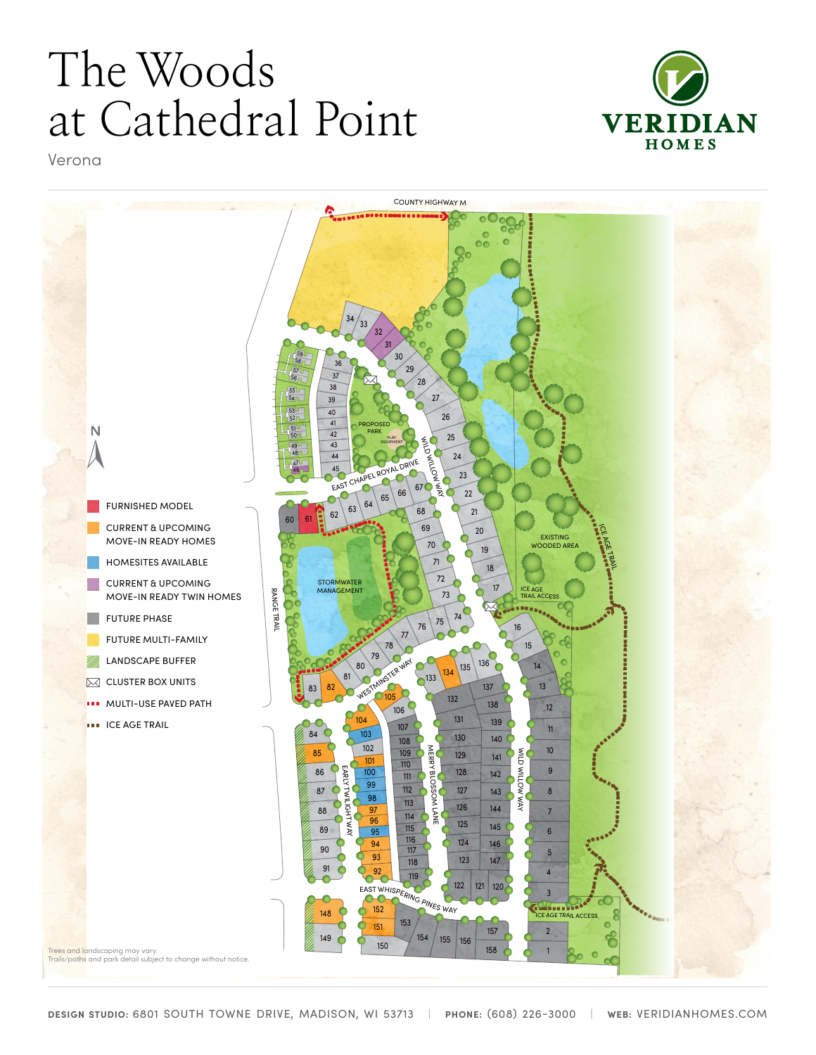# The Woods at Cathedral Point



Verona